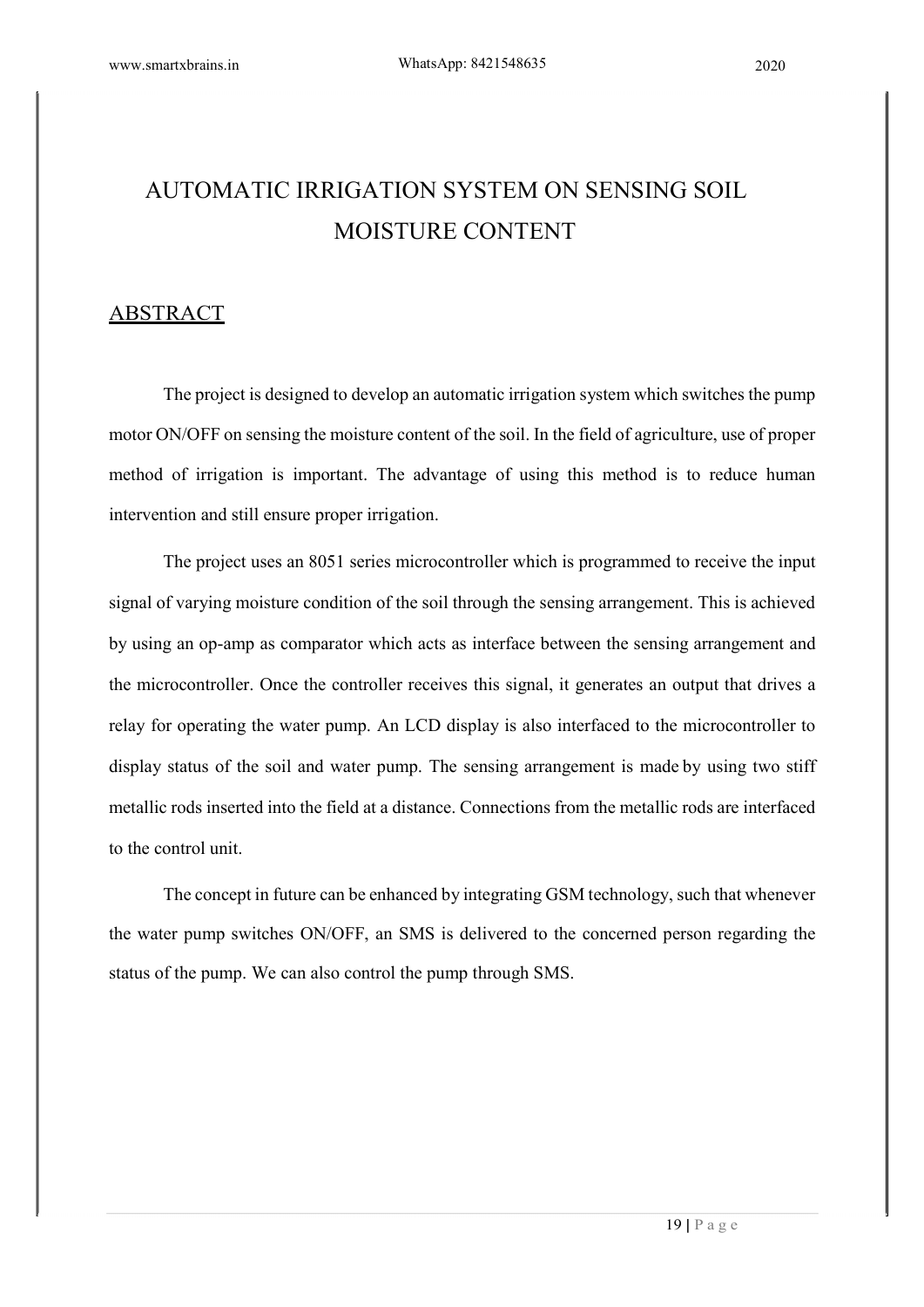# AUTOMATIC IRRIGATION SYSTEM ON SENSING SOIL MOISTURE CONTENT

## ABSTRACT

The project is designed to develop an automatic irrigation system which switches the pump motor ON/OFF on sensing the moisture content of the soil. In the field of agriculture, use of proper method of irrigation is important. The advantage of using this method is to reduce human intervention and still ensure proper irrigation.

The project uses an 8051 series microcontroller which is programmed to receive the input signal of varying moisture condition of the soil through the sensing arrangement. This is achieved by using an op-amp as comparator which acts as interface between the sensing arrangement and the microcontroller. Once the controller receives this signal, it generates an output that drives a relay for operating the water pump. An LCD display is also interfaced to the microcontroller to display status of the soil and water pump. The sensing arrangement is made by using two stiff metallic rods inserted into the field at a distance. Connections from the metallic rods are interfaced to the control unit.

The concept in future can be enhanced by integrating GSM technology, such that whenever the water pump switches ON/OFF, an SMS is delivered to the concerned person regarding the status of the pump. We can also control the pump through SMS.